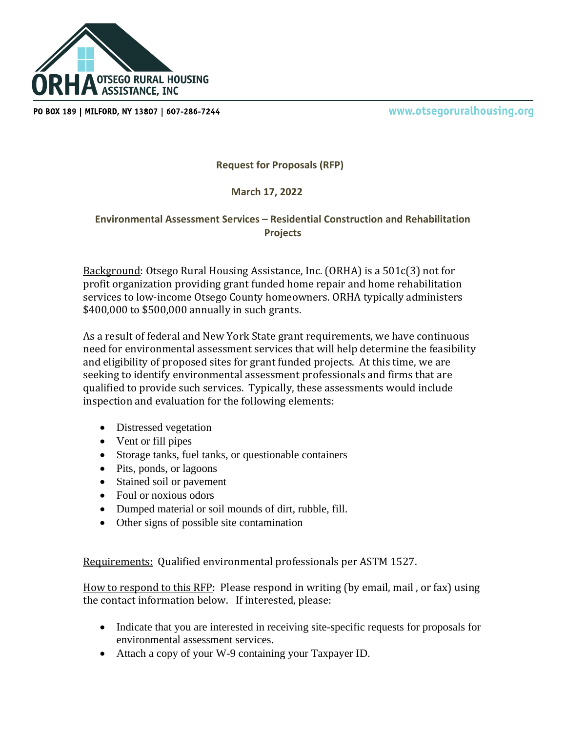

PO BOX 189 | MILFORD, NY 13807 | 607-286-7244

www.otsegoruralhousing.org

**Request for Proposals (RFP)**

## **March 17, 2022**

## **Environmental Assessment Services – Residential Construction and Rehabilitation Projects**

Background: Otsego Rural Housing Assistance, Inc. (ORHA) is a 501c(3) not for profit organization providing grant funded home repair and home rehabilitation services to low-income Otsego County homeowners. ORHA typically administers \$400,000 to \$500,000 annually in such grants.

As a result of federal and New York State grant requirements, we have continuous need for environmental assessment services that will help determine the feasibility and eligibility of proposed sites for grant funded projects. At this time, we are seeking to identify environmental assessment professionals and firms that are qualified to provide such services. Typically, these assessments would include inspection and evaluation for the following elements:

- Distressed vegetation
- Vent or fill pipes
- Storage tanks, fuel tanks, or questionable containers
- Pits, ponds, or lagoons
- Stained soil or pavement
- Foul or noxious odors
- Dumped material or soil mounds of dirt, rubble, fill.
- Other signs of possible site contamination

Requirements: Qualified environmental professionals per ASTM 1527.

How to respond to this RFP: Please respond in writing (by email, mail , or fax) using the contact information below. If interested, please:

- Indicate that you are interested in receiving site-specific requests for proposals for environmental assessment services.
- Attach a copy of your W-9 containing your Taxpayer ID.